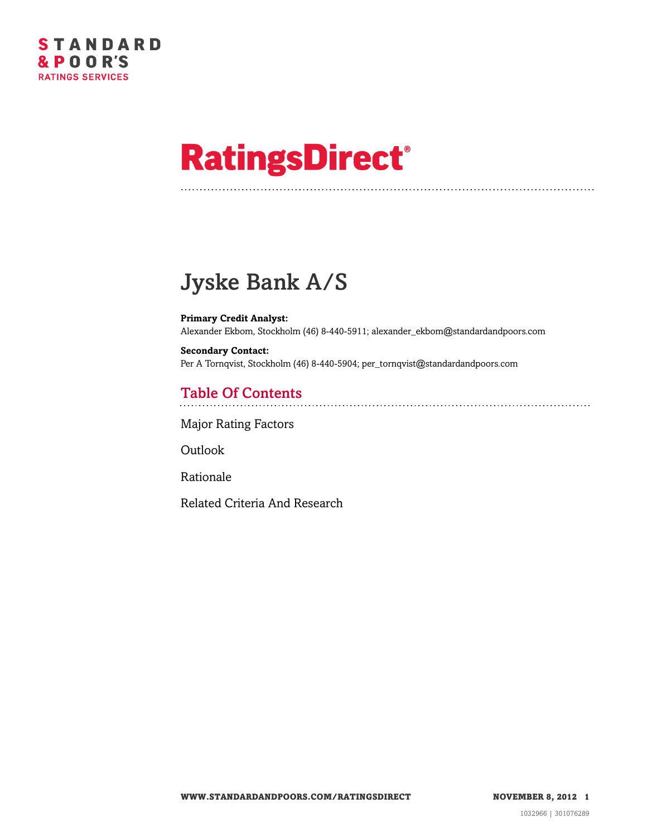# **RatingsDirect®**

# Jyske Bank A/S

**Primary Credit Analyst:** Alexander Ekbom, Stockholm (46) 8-440-5911; alexander\_ekbom@standardandpoors.com

**Secondary Contact:** Per A Tornqvist, Stockholm (46) 8-440-5904; per\_tornqvist@standardandpoors.com

# Table Of Contents

[Major Rating Factors](#page-1-0)

[Outlook](#page-1-1)

[Rationale](#page-2-0)

[Related Criteria And Research](#page-8-0)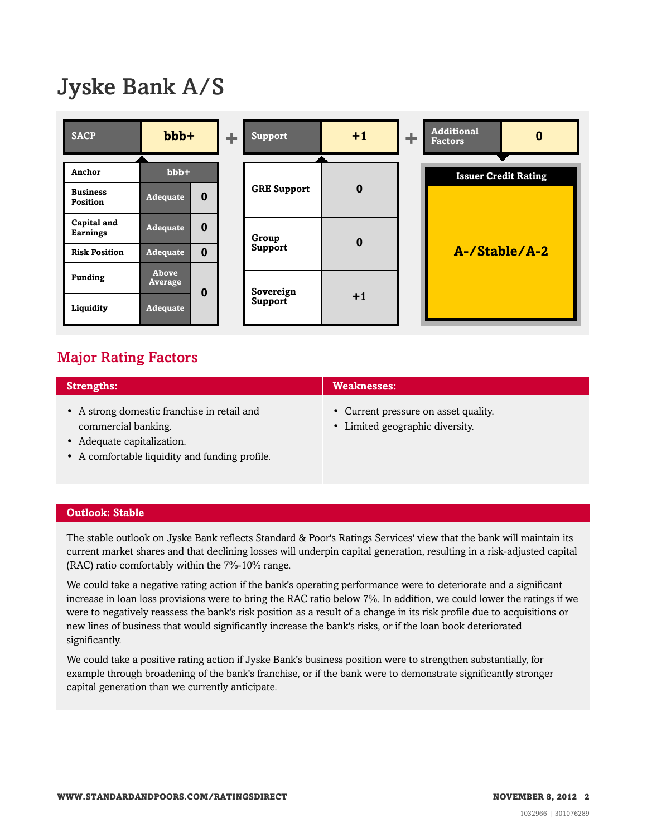# Jyske Bank A/S



## <span id="page-1-0"></span>Major Rating Factors

| <b>Strengths:</b>                                                  | <b>Weaknesses:</b>                                                      |
|--------------------------------------------------------------------|-------------------------------------------------------------------------|
| • A strong domestic franchise in retail and<br>commercial banking. | • Current pressure on asset quality.<br>• Limited geographic diversity. |
| Adequate capitalization                                            |                                                                         |

- equate capitalizatio
- A comfortable liquidity and funding profile.

#### <span id="page-1-1"></span>**Outlook: Stable**

The stable outlook on Jyske Bank reflects Standard & Poor's Ratings Services' view that the bank will maintain its current market shares and that declining losses will underpin capital generation, resulting in a risk-adjusted capital (RAC) ratio comfortably within the 7%-10% range.

We could take a negative rating action if the bank's operating performance were to deteriorate and a significant increase in loan loss provisions were to bring the RAC ratio below 7%. In addition, we could lower the ratings if we were to negatively reassess the bank's risk position as a result of a change in its risk profile due to acquisitions or new lines of business that would significantly increase the bank's risks, or if the loan book deteriorated significantly.

We could take a positive rating action if Jyske Bank's business position were to strengthen substantially, for example through broadening of the bank's franchise, or if the bank were to demonstrate significantly stronger capital generation than we currently anticipate.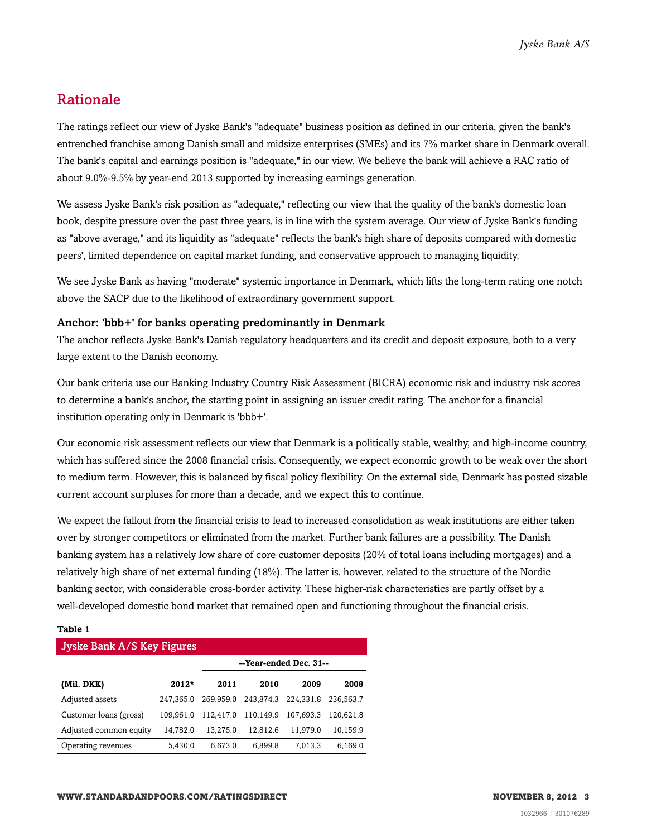### <span id="page-2-0"></span>Rationale

The ratings reflect our view of Jyske Bank's "adequate" business position as defined in our criteria, given the bank's entrenched franchise among Danish small and midsize enterprises (SMEs) and its 7% market share in Denmark overall. The bank's capital and earnings position is "adequate," in our view. We believe the bank will achieve a RAC ratio of about 9.0%-9.5% by year-end 2013 supported by increasing earnings generation.

We assess Jyske Bank's risk position as "adequate," reflecting our view that the quality of the bank's domestic loan book, despite pressure over the past three years, is in line with the system average. Our view of Jyske Bank's funding as "above average," and its liquidity as "adequate" reflects the bank's high share of deposits compared with domestic peers', limited dependence on capital market funding, and conservative approach to managing liquidity.

We see Jyske Bank as having "moderate" systemic importance in Denmark, which lifts the long-term rating one notch above the SACP due to the likelihood of extraordinary government support.

#### Anchor: 'bbb+' for banks operating predominantly in Denmark

The anchor reflects Jyske Bank's Danish regulatory headquarters and its credit and deposit exposure, both to a very large extent to the Danish economy.

Our bank criteria use our Banking Industry Country Risk Assessment (BICRA) economic risk and industry risk scores to determine a bank's anchor, the starting point in assigning an issuer credit rating. The anchor for a financial institution operating only in Denmark is 'bbb+'.

Our economic risk assessment reflects our view that Denmark is a politically stable, wealthy, and high-income country, which has suffered since the 2008 financial crisis. Consequently, we expect economic growth to be weak over the short to medium term. However, this is balanced by fiscal policy flexibility. On the external side, Denmark has posted sizable current account surpluses for more than a decade, and we expect this to continue.

We expect the fallout from the financial crisis to lead to increased consolidation as weak institutions are either taken over by stronger competitors or eliminated from the market. Further bank failures are a possibility. The Danish banking system has a relatively low share of core customer deposits (20% of total loans including mortgages) and a relatively high share of net external funding (18%). The latter is, however, related to the structure of the Nordic banking sector, with considerable cross-border activity. These higher-risk characteristics are partly offset by a well-developed domestic bond market that remained open and functioning throughout the financial crisis.

#### **Table 1**

#### Jyske Bank A/S Key Figures

|                        |           | --Year-ended Dec. 31-- |           |           |           |  |  |
|------------------------|-----------|------------------------|-----------|-----------|-----------|--|--|
| (Mil. DKK)             | $2012*$   | 2011                   | 2010      | 2009      | 2008      |  |  |
| Adjusted assets        | 247.365.0 | 269,959.0              | 243,874.3 | 224.331.8 | 236.563.7 |  |  |
| Customer loans (gross) | 109.961.0 | 112,417.0              | 110,149.9 | 107.693.3 | 120.621.8 |  |  |
| Adjusted common equity | 14,782.0  | 13,275.0               | 12,812.6  | 11,979.0  | 10,159.9  |  |  |
| Operating revenues     | 5,430.0   | 6,673.0                | 6,899.8   | 7.013.3   | 6,169.0   |  |  |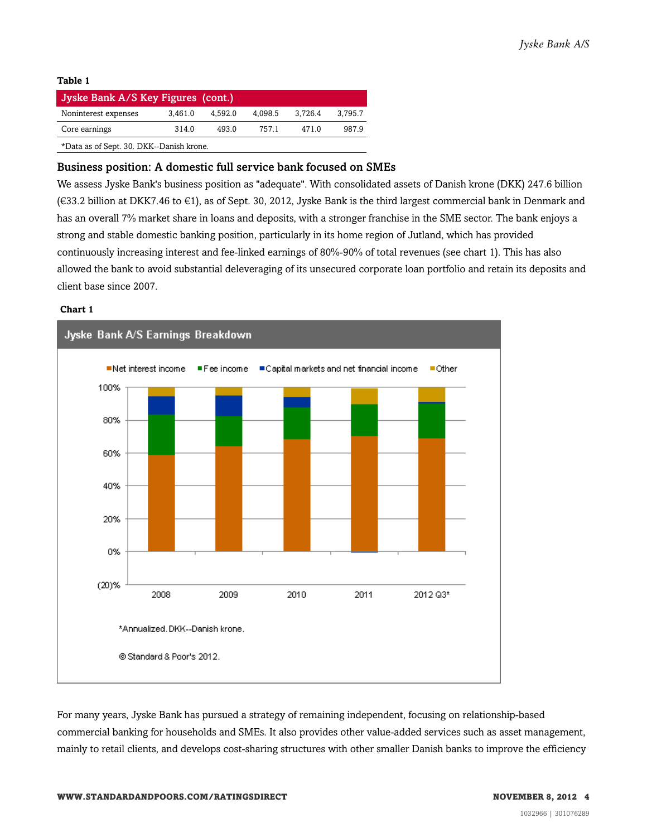#### **Table 1**

| Jyske Bank A/S Key Figures (cont.)       |         |         |         |         |         |  |  |  |
|------------------------------------------|---------|---------|---------|---------|---------|--|--|--|
| Noninterest expenses                     | 3.461.0 | 4.592.0 | 4.098.5 | 3.726.4 | 3.795.7 |  |  |  |
| Core earnings                            | 7571    | 4710    | 9879    |         |         |  |  |  |
| *Data as of Sept. 30. DKK--Danish krone. |         |         |         |         |         |  |  |  |

#### Business position: A domestic full service bank focused on SMEs

We assess Jyske Bank's business position as "adequate". With consolidated assets of Danish krone (DKK) 247.6 billion (€33.2 billion at DKK7.46 to €1), as of Sept. 30, 2012, Jyske Bank is the third largest commercial bank in Denmark and has an overall 7% market share in loans and deposits, with a stronger franchise in the SME sector. The bank enjoys a strong and stable domestic banking position, particularly in its home region of Jutland, which has provided continuously increasing interest and fee-linked earnings of 80%-90% of total revenues (see chart 1). This has also allowed the bank to avoid substantial deleveraging of its unsecured corporate loan portfolio and retain its deposits and client base since 2007.

#### **Chart 1**



For many years, Jyske Bank has pursued a strategy of remaining independent, focusing on relationship-based commercial banking for households and SMEs. It also provides other value-added services such as asset management, mainly to retail clients, and develops cost-sharing structures with other smaller Danish banks to improve the efficiency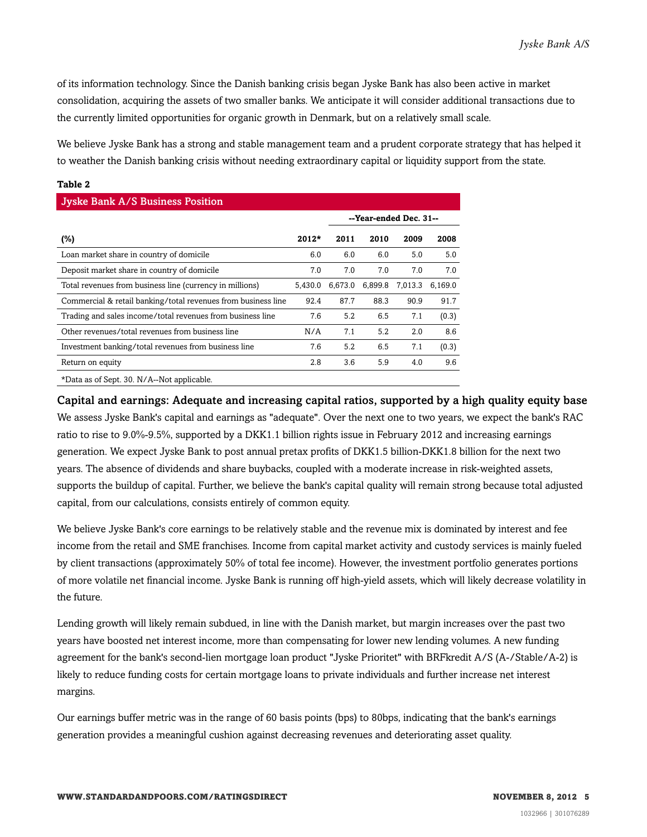of its information technology. Since the Danish banking crisis began Jyske Bank has also been active in market consolidation, acquiring the assets of two smaller banks. We anticipate it will consider additional transactions due to the currently limited opportunities for organic growth in Denmark, but on a relatively small scale.

We believe Jyske Bank has a strong and stable management team and a prudent corporate strategy that has helped it to weather the Danish banking crisis without needing extraordinary capital or liquidity support from the state.

#### **Table 2**

| <b>Jyske Bank A/S Business Position</b>                       |         |         |                        |         |         |  |  |  |  |
|---------------------------------------------------------------|---------|---------|------------------------|---------|---------|--|--|--|--|
|                                                               |         |         | --Year-ended Dec. 31-- |         |         |  |  |  |  |
| (%)                                                           | $2012*$ | 2011    | 2010                   | 2009    | 2008    |  |  |  |  |
| Loan market share in country of domicile                      | 6.0     | 6.0     | 6.0                    | 5.0     | 5.0     |  |  |  |  |
| Deposit market share in country of domicile                   | 7.0     | 7.0     | 7.0                    | 7.0     | 7.0     |  |  |  |  |
| Total revenues from business line (currency in millions)      | 5.430.0 | 6,673.0 | 6,899.8                | 7.013.3 | 6,169.0 |  |  |  |  |
| Commercial & retail banking/total revenues from business line | 92.4    | 87.7    | 88.3                   | 90.9    | 91.7    |  |  |  |  |
| Trading and sales income/total revenues from business line    | 7.6     | 5.2     | 6.5                    | 7.1     | (0.3)   |  |  |  |  |
| Other revenues/total revenues from business line              | N/A     | 7.1     | 5.2                    | 2.0     | 8.6     |  |  |  |  |
| Investment banking/total revenues from business line          | 7.6     | 5.2     | 6.5                    | 7.1     | (0.3)   |  |  |  |  |
| Return on equity                                              | 2.8     | 3.6     | 5.9                    | 4.0     | 9.6     |  |  |  |  |
| *Data as of Sept. 30. N/A--Not applicable.                    |         |         |                        |         |         |  |  |  |  |

Capital and earnings: Adequate and increasing capital ratios, supported by a high quality equity base We assess Jyske Bank's capital and earnings as "adequate". Over the next one to two years, we expect the bank's RAC ratio to rise to 9.0%-9.5%, supported by a DKK1.1 billion rights issue in February 2012 and increasing earnings generation. We expect Jyske Bank to post annual pretax profits of DKK1.5 billion-DKK1.8 billion for the next two years. The absence of dividends and share buybacks, coupled with a moderate increase in risk-weighted assets, supports the buildup of capital. Further, we believe the bank's capital quality will remain strong because total adjusted capital, from our calculations, consists entirely of common equity.

We believe Jyske Bank's core earnings to be relatively stable and the revenue mix is dominated by interest and fee income from the retail and SME franchises. Income from capital market activity and custody services is mainly fueled by client transactions (approximately 50% of total fee income). However, the investment portfolio generates portions of more volatile net financial income. Jyske Bank is running off high-yield assets, which will likely decrease volatility in the future.

Lending growth will likely remain subdued, in line with the Danish market, but margin increases over the past two years have boosted net interest income, more than compensating for lower new lending volumes. A new funding agreement for the bank's second-lien mortgage loan product "Jyske Prioritet" with BRFkredit A/S (A-/Stable/A-2) is likely to reduce funding costs for certain mortgage loans to private individuals and further increase net interest margins.

Our earnings buffer metric was in the range of 60 basis points (bps) to 80bps, indicating that the bank's earnings generation provides a meaningful cushion against decreasing revenues and deteriorating asset quality.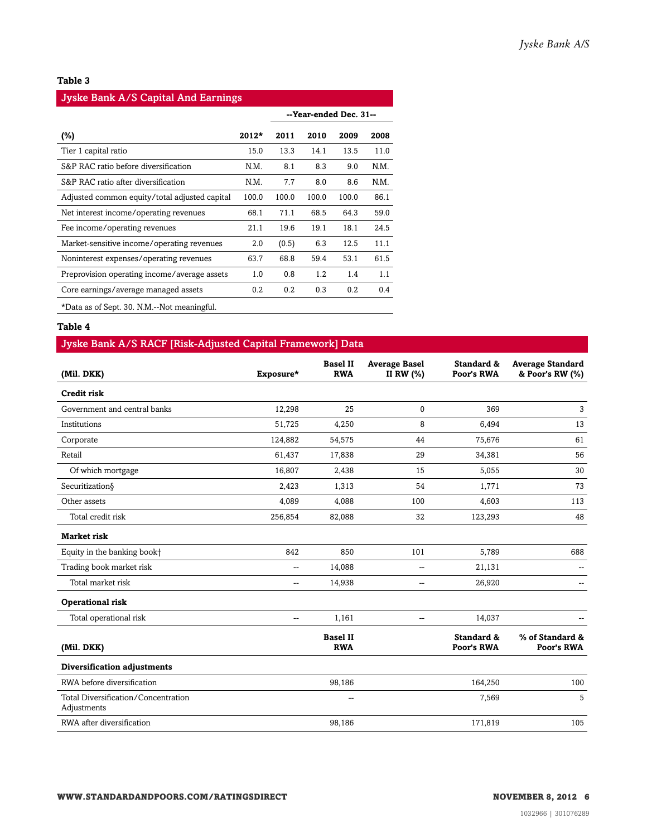#### **Table 3**

#### Jyske Bank A/S Capital And Earnings

|                                               |         |       |       | --Year-ended Dec. 31-- |      |
|-----------------------------------------------|---------|-------|-------|------------------------|------|
| (%)                                           | $2012*$ | 2011  | 2010  | 2009                   | 2008 |
| Tier 1 capital ratio                          | 15.0    | 13.3  | 14.1  | 13.5                   | 11.0 |
| S&P RAC ratio before diversification          | N.M.    | 8.1   | 8.3   | 9.0                    | N.M. |
| S&P RAC ratio after diversification           | N.M.    | 7.7   | 8.0   | 8.6                    | N.M. |
| Adjusted common equity/total adjusted capital | 100.0   | 100.0 | 100.0 | 100.0                  | 86.1 |
| Net interest income/operating revenues        | 68.1    | 71.1  | 68.5  | 64.3                   | 59.0 |
| Fee income/operating revenues                 | 21.1    | 19.6  | 19.1  | 18.1                   | 24.5 |
| Market-sensitive income/operating revenues    | 2.0     | (0.5) | 6.3   | 12.5                   | 11.1 |
| Noninterest expenses/operating revenues       | 63.7    | 68.8  | 59.4  | 53.1                   | 61.5 |
| Preprovision operating income/average assets  | 1.0     | 0.8   | 1.2   | 1.4                    | 1.1  |
| Core earnings/average managed assets          | 0.2     | 0.2   | 0.3   | 0.2                    | 0.4  |
| *Data as of Sept. 30. N.M.--Not meaningful.   |         |       |       |                        |      |

#### **Table 4**

#### Jyske Bank A/S RACF [Risk-Adjusted Capital Framework] Data

| (Mil. DKK)                                         | Exposure*                | <b>Basel II</b><br><b>RWA</b> | <b>Average Basel</b><br>II RW (%) | Standard &<br>Poor's RWA | <b>Average Standard</b><br>& Poor's RW (%) |
|----------------------------------------------------|--------------------------|-------------------------------|-----------------------------------|--------------------------|--------------------------------------------|
| <b>Credit risk</b>                                 |                          |                               |                                   |                          |                                            |
| Government and central banks                       | 12,298                   | 25                            | 0                                 | 369                      | 3                                          |
| Institutions                                       | 51,725                   | 4,250                         | 8                                 | 6,494                    | 13                                         |
| Corporate                                          | 124,882                  | 54,575                        | 44                                | 75,676                   | 61                                         |
| Retail                                             | 61,437                   | 17,838                        | 29                                | 34,381                   | 56                                         |
| Of which mortgage                                  | 16,807                   | 2,438                         | 15                                | 5,055                    | 30                                         |
| Securitization§                                    | 2,423                    | 1,313                         | 54                                | 1,771                    | 73                                         |
| Other assets                                       | 4,089                    | 4,088                         | 100                               | 4,603                    | 113                                        |
| Total credit risk                                  | 256,854                  | 82,088                        | 32                                | 123,293                  | 48                                         |
| <b>Market risk</b>                                 |                          |                               |                                   |                          |                                            |
| Equity in the banking book+                        | 842                      | 850                           | 101                               | 5,789                    | 688                                        |
| Trading book market risk                           | $\mathbf{u}$             | 14,088                        | $\overline{a}$                    | 21,131                   |                                            |
| Total market risk                                  | $\sim$ $\sim$            | 14,938                        | --                                | 26,920                   | $\sim$                                     |
| <b>Operational risk</b>                            |                          |                               |                                   |                          |                                            |
| Total operational risk                             | $\overline{\phantom{a}}$ | 1,161                         | $\overline{a}$                    | 14,037                   |                                            |
| (Mil. DKK)                                         |                          | <b>Basel II</b><br><b>RWA</b> |                                   | Standard &<br>Poor's RWA | % of Standard &<br>Poor's RWA              |
| Diversification adjustments                        |                          |                               |                                   |                          |                                            |
| RWA before diversification                         |                          | 98,186                        |                                   | 164,250                  | 100                                        |
| Total Diversification/Concentration<br>Adjustments |                          | --                            |                                   | 7,569                    | 5                                          |
| RWA after diversification                          |                          | 98,186                        |                                   | 171,819                  | 105                                        |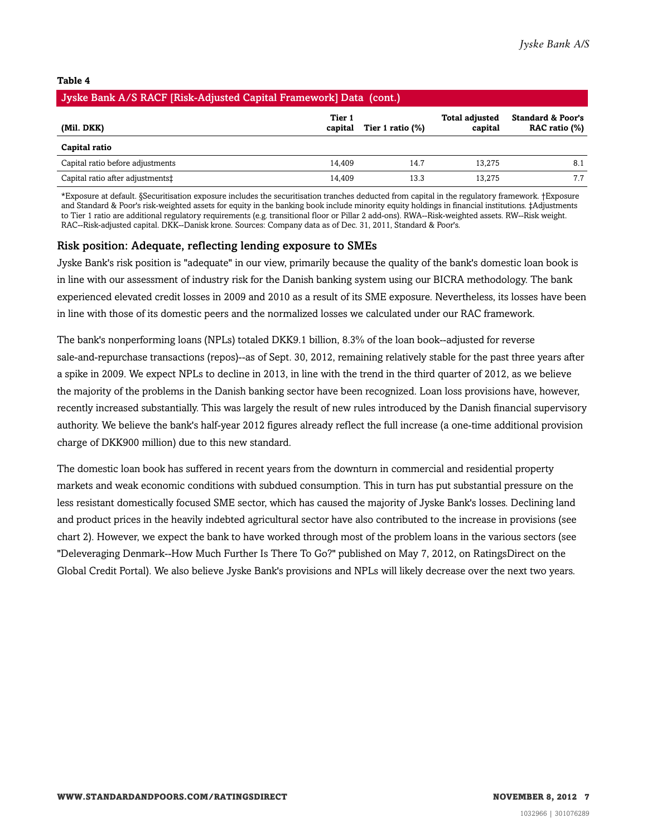#### **Table 4**

| Jyske Bank A/S RACF [Risk-Adjusted Capital Framework] Data (cont.)                                                                          |        |      |        |     |  |  |  |  |  |
|---------------------------------------------------------------------------------------------------------------------------------------------|--------|------|--------|-----|--|--|--|--|--|
| <b>Standard &amp; Poor's</b><br>Tier 1<br><b>Total adjusted</b><br>RAC ratio (%)<br>capital<br>(Mil. DKK)<br>Tier 1 ratio $(\%)$<br>capital |        |      |        |     |  |  |  |  |  |
| Capital ratio                                                                                                                               |        |      |        |     |  |  |  |  |  |
| Capital ratio before adjustments                                                                                                            | 14.409 | 14.7 | 13.275 | 8.1 |  |  |  |  |  |
| Capital ratio after adjustments <sup>+</sup>                                                                                                | 14.409 | 13.3 | 13.275 |     |  |  |  |  |  |

\*Exposure at default. §Securitisation exposure includes the securitisation tranches deducted from capital in the regulatory framework. †Exposure and Standard & Poor's risk-weighted assets for equity in the banking book include minority equity holdings in financial institutions. ‡Adjustments to Tier 1 ratio are additional regulatory requirements (e.g. transitional floor or Pillar 2 add-ons). RWA--Risk-weighted assets. RW--Risk weight. RAC--Risk-adjusted capital. DKK--Danisk krone. Sources: Company data as of Dec. 31, 2011, Standard & Poor's.

#### Risk position: Adequate, reflecting lending exposure to SMEs

Jyske Bank's risk position is "adequate" in our view, primarily because the quality of the bank's domestic loan book is in line with our assessment of industry risk for the Danish banking system using our BICRA methodology. The bank experienced elevated credit losses in 2009 and 2010 as a result of its SME exposure. Nevertheless, its losses have been in line with those of its domestic peers and the normalized losses we calculated under our RAC framework.

The bank's nonperforming loans (NPLs) totaled DKK9.1 billion, 8.3% of the loan book--adjusted for reverse sale-and-repurchase transactions (repos)--as of Sept. 30, 2012, remaining relatively stable for the past three years after a spike in 2009. We expect NPLs to decline in 2013, in line with the trend in the third quarter of 2012, as we believe the majority of the problems in the Danish banking sector have been recognized. Loan loss provisions have, however, recently increased substantially. This was largely the result of new rules introduced by the Danish financial supervisory authority. We believe the bank's half-year 2012 figures already reflect the full increase (a one-time additional provision charge of DKK900 million) due to this new standard.

The domestic loan book has suffered in recent years from the downturn in commercial and residential property markets and weak economic conditions with subdued consumption. This in turn has put substantial pressure on the less resistant domestically focused SME sector, which has caused the majority of Jyske Bank's losses. Declining land and product prices in the heavily indebted agricultural sector have also contributed to the increase in provisions (see chart 2). However, we expect the bank to have worked through most of the problem loans in the various sectors (see "Deleveraging Denmark--How Much Further Is There To Go?" published on May 7, 2012, on RatingsDirect on the Global Credit Portal). We also believe Jyske Bank's provisions and NPLs will likely decrease over the next two years.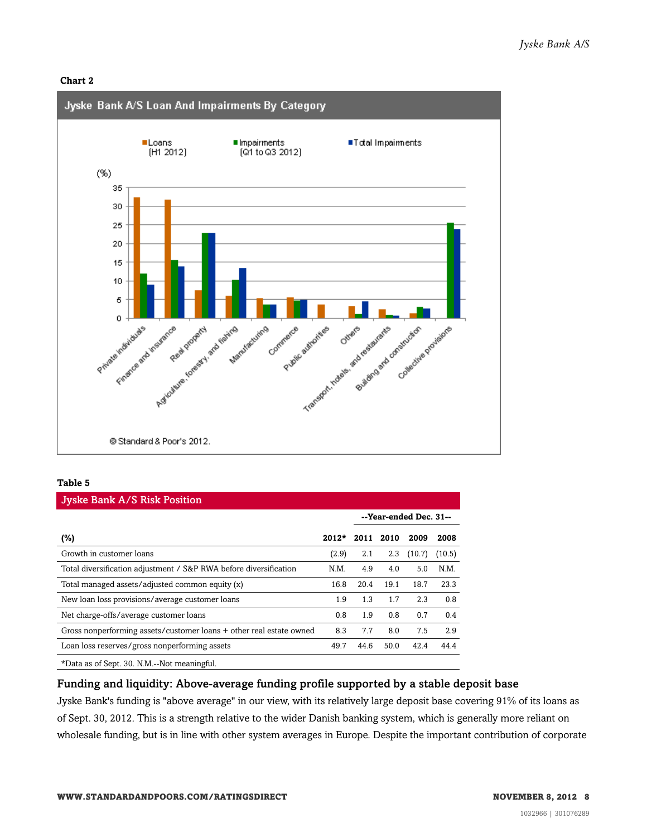#### **Chart 2**



#### **Table 5**

| <b>Jyske Bank A/S Risk Position</b>                                 |         |      |      |                        |        |  |  |  |
|---------------------------------------------------------------------|---------|------|------|------------------------|--------|--|--|--|
|                                                                     |         |      |      | --Year-ended Dec. 31-- |        |  |  |  |
| $(\%)$                                                              | $2012*$ | 2011 | 2010 | 2009                   | 2008   |  |  |  |
| Growth in customer loans                                            | (2.9)   | 2.1  | 2.3  | (10.7)                 | (10.5) |  |  |  |
| Total diversification adjustment / S&P RWA before diversification   | N.M.    | 4.9  | 4.0  | 5.0                    | N.M.   |  |  |  |
| Total managed assets/adjusted common equity (x)                     | 16.8    | 20.4 | 19.1 | 18.7                   | 23.3   |  |  |  |
| New loan loss provisions/average customer loans                     | 1.9     | 1.3  | 1.7  | 2.3                    | 0.8    |  |  |  |
| Net charge-offs/average customer loans                              | 0.8     | 1.9  | 0.8  | 0.7                    | 0.4    |  |  |  |
| Gross nonperforming assets/customer loans + other real estate owned | 8.3     | 7.7  | 8.0  | 7.5                    | 2.9    |  |  |  |
| Loan loss reserves/gross nonperforming assets                       | 49.7    | 44.6 | 50.0 | 42.4                   | 44.4   |  |  |  |
| *Data as of Sept. 30. N.M.--Not meaningful.                         |         |      |      |                        |        |  |  |  |

#### Funding and liquidity: Above-average funding profile supported by a stable deposit base

Jyske Bank's funding is "above average" in our view, with its relatively large deposit base covering 91% of its loans as of Sept. 30, 2012. This is a strength relative to the wider Danish banking system, which is generally more reliant on wholesale funding, but is in line with other system averages in Europe. Despite the important contribution of corporate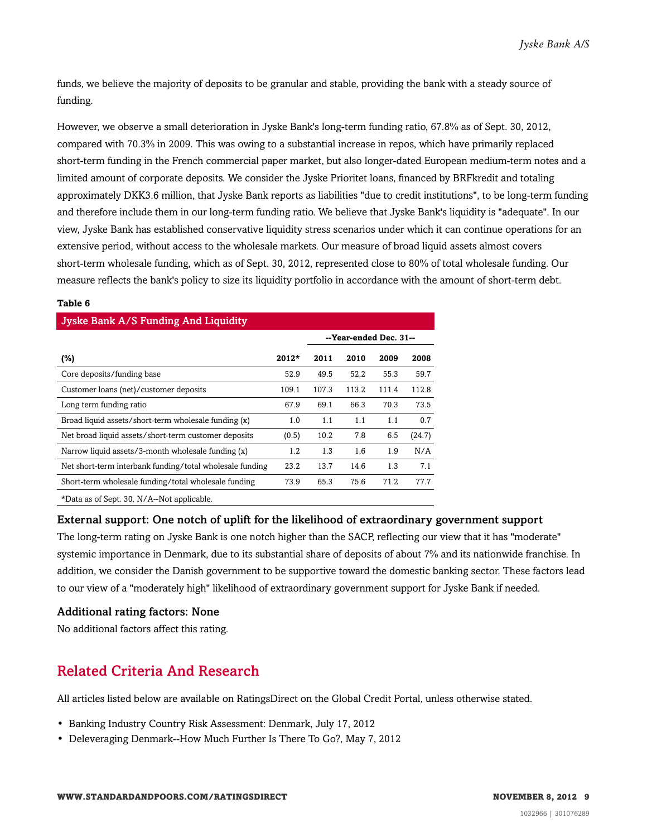funds, we believe the majority of deposits to be granular and stable, providing the bank with a steady source of funding.

However, we observe a small deterioration in Jyske Bank's long-term funding ratio, 67.8% as of Sept. 30, 2012, compared with 70.3% in 2009. This was owing to a substantial increase in repos, which have primarily replaced short-term funding in the French commercial paper market, but also longer-dated European medium-term notes and a limited amount of corporate deposits. We consider the Jyske Prioritet loans, financed by BRFkredit and totaling approximately DKK3.6 million, that Jyske Bank reports as liabilities "due to credit institutions", to be long-term funding and therefore include them in our long-term funding ratio. We believe that Jyske Bank's liquidity is "adequate". In our view, Jyske Bank has established conservative liquidity stress scenarios under which it can continue operations for an extensive period, without access to the wholesale markets. Our measure of broad liquid assets almost covers short-term wholesale funding, which as of Sept. 30, 2012, represented close to 80% of total wholesale funding. Our measure reflects the bank's policy to size its liquidity portfolio in accordance with the amount of short-term debt.

#### **Table 6**

| <b>Jyske Bank A/S Funding And Liquidity</b>                                 |         |       |                        |       |        |  |  |  |
|-----------------------------------------------------------------------------|---------|-------|------------------------|-------|--------|--|--|--|
|                                                                             |         |       | --Year-ended Dec. 31-- |       |        |  |  |  |
| $(\%)$                                                                      | $2012*$ | 2011  | 2010                   | 2009  | 2008   |  |  |  |
| Core deposits/funding base                                                  | 52.9    | 49.5  | 52.2                   | 55.3  | 59.7   |  |  |  |
| Customer loans (net)/customer deposits                                      | 109.1   | 107.3 | 113.2                  | 111.4 | 112.8  |  |  |  |
| Long term funding ratio                                                     | 67.9    | 69.1  | 66.3                   | 70.3  | 73.5   |  |  |  |
| Broad liquid assets/short-term wholesale funding (x)                        | 1.0     | 1.1   | 1.1                    | 1.1   | 0.7    |  |  |  |
| Net broad liquid assets/short-term customer deposits                        | (0.5)   | 10.2  | 7.8                    | 6.5   | (24.7) |  |  |  |
| Narrow liquid assets/3-month wholesale funding (x)                          | 1.2     | 1.3   | 1.6                    | 1.9   | N/A    |  |  |  |
| Net short-term interbank funding/total wholesale funding                    | 23.2    | 13.7  | 14.6                   | 1.3   | 7.1    |  |  |  |
| Short-term wholesale funding/total wholesale funding                        | 73.9    | 65.3  | 75.6                   | 71.2  | 77.7   |  |  |  |
| $+D_{i+1}$ , $+D_{i+1}$ , $+D_{i+1}$ , $+D_{i+1}$ , $+D_{i+1}$ , $+D_{i+1}$ |         |       |                        |       |        |  |  |  |

\*Data as of Sept. 30. N/A--Not applicable.

#### External support: One notch of uplift for the likelihood of extraordinary government support

The long-term rating on Jyske Bank is one notch higher than the SACP, reflecting our view that it has "moderate" systemic importance in Denmark, due to its substantial share of deposits of about 7% and its nationwide franchise. In addition, we consider the Danish government to be supportive toward the domestic banking sector. These factors lead to our view of a "moderately high" likelihood of extraordinary government support for Jyske Bank if needed.

#### Additional rating factors: None

<span id="page-8-0"></span>No additional factors affect this rating.

### Related Criteria And Research

All articles listed below are available on RatingsDirect on the Global Credit Portal, unless otherwise stated.

- Banking Industry Country Risk Assessment: Denmark, July 17, 2012
- Deleveraging Denmark--How Much Further Is There To Go?, May 7, 2012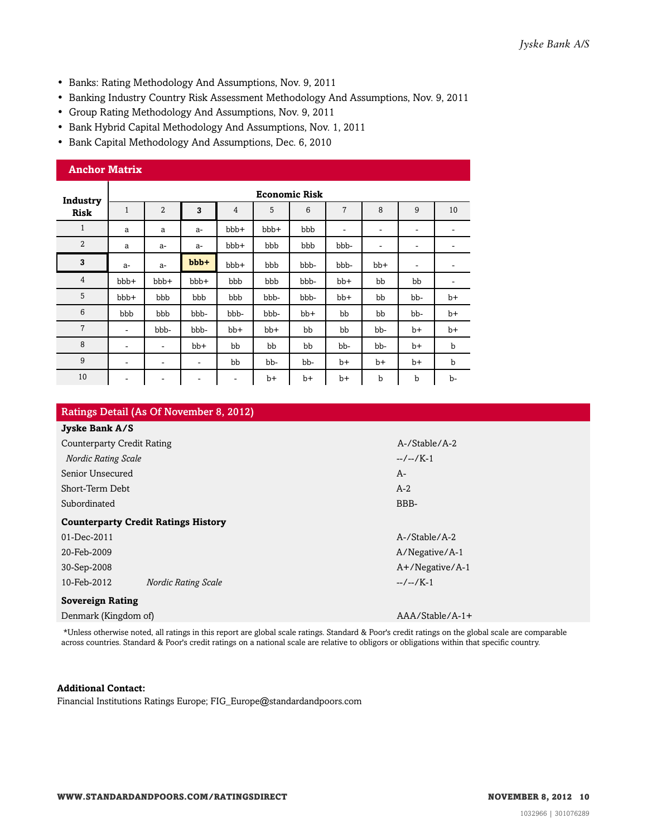- Banks: Rating Methodology And Assumptions, Nov. 9, 2011
- Banking Industry Country Risk Assessment Methodology And Assumptions, Nov. 9, 2011
- Group Rating Methodology And Assumptions, Nov. 9, 2011
- Bank Hybrid Capital Methodology And Assumptions, Nov. 1, 2011
- Bank Capital Methodology And Assumptions, Dec. 6, 2010

| <b>Anchor Matrix</b> |                          |                          |      |                          |       |                      |       |      |                          |             |
|----------------------|--------------------------|--------------------------|------|--------------------------|-------|----------------------|-------|------|--------------------------|-------------|
| Industry             |                          |                          |      |                          |       | <b>Economic Risk</b> |       |      |                          |             |
| <b>Risk</b>          | $\mathbf{1}$             | $\overline{2}$           | 3    | 4                        | 5     | 6                    | 7     | 8    | 9                        | 10          |
| $\mathbf{1}$         | a                        | a                        | $a-$ | bbb+                     | bbb+  | bbb                  | ۰     | ۰    | ۰                        | ۰           |
| 2                    | a                        | a-                       | $a-$ | bbb+                     | bbb   | bbb                  | bbb-  | ۰    | $\overline{\phantom{a}}$ | ۰           |
| 3                    | $a-$                     | $a-$                     | bbb+ | bbb+                     | bbb   | bbb-                 | bbb-  | bb+  | ۰                        | ۰           |
| $\overline{4}$       | bbb+                     | bbb+                     | bbb+ | bbb                      | bbb   | bbb-                 | $bb+$ | bb   | bb                       | ۰           |
| 5                    | bbb+                     | bbb                      | bbb  | bbb                      | bbb-  | bbb-                 | bb+   | bb   | bb-                      | $b+$        |
| 6                    | bbb                      | bbb                      | bbb- | bbb-                     | bbb-  | bb+                  | bb    | bb   | bb-                      | $b+$        |
| $\overline{7}$       | ٠                        | bbb-                     | bbb- | bb+                      | $bb+$ | bb                   | bb    | bb-  | $b+$                     | $b+$        |
| 8                    | -                        | ۰                        | bb+  | bb                       | bb    | bb                   | bb-   | bb-  | $b+$                     | b           |
| 9                    | ۰                        | ۰                        | ۰    | bb                       | bb-   | bb-                  | $b+$  | $b+$ | $b+$                     | $\mathbf b$ |
| 10                   | $\overline{\phantom{a}}$ | $\overline{\phantom{a}}$ | -    | $\overline{\phantom{a}}$ | $b+$  | b+                   | $b+$  | b    | b                        | b-          |

| Ratings Detail (As Of November 8, 2012)    |                    |  |  |  |  |  |
|--------------------------------------------|--------------------|--|--|--|--|--|
| Jyske Bank A/S                             |                    |  |  |  |  |  |
| <b>Counterparty Credit Rating</b>          | A-/Stable/A-2      |  |  |  |  |  |
| <b>Nordic Rating Scale</b>                 | $-/-1$             |  |  |  |  |  |
| Senior Unsecured                           | $A-$               |  |  |  |  |  |
| Short-Term Debt                            | $A-2$              |  |  |  |  |  |
| Subordinated                               | BBB-               |  |  |  |  |  |
| <b>Counterparty Credit Ratings History</b> |                    |  |  |  |  |  |
| 01-Dec-2011                                | A-/Stable/A-2      |  |  |  |  |  |
| 20-Feb-2009                                | A/Negative/A-1     |  |  |  |  |  |
| 30-Sep-2008                                | $A+$ /Negative/A-1 |  |  |  |  |  |
| 10-Feb-2012<br><b>Nordic Rating Scale</b>  | $-/-1$             |  |  |  |  |  |
| <b>Sovereign Rating</b>                    |                    |  |  |  |  |  |
| Denmark (Kingdom of)                       | $AAA/Stable/A-1+$  |  |  |  |  |  |

\*Unless otherwise noted, all ratings in this report are global scale ratings. Standard & Poor's credit ratings on the global scale are comparable across countries. Standard & Poor's credit ratings on a national scale are relative to obligors or obligations within that specific country.

#### **Additional Contact:**

Financial Institutions Ratings Europe; FIG\_Europe@standardandpoors.com